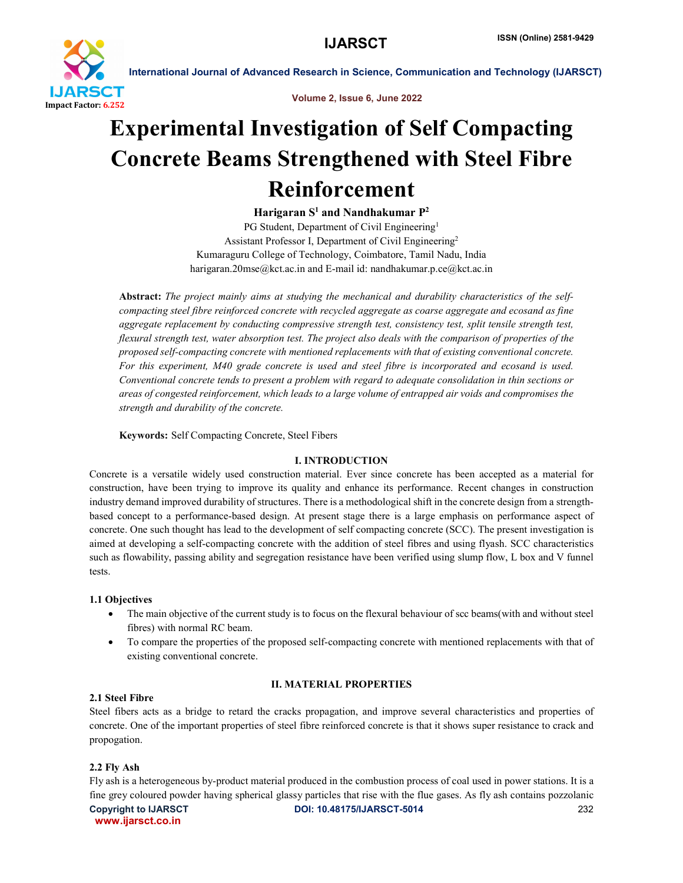

Volume 2, Issue 6, June 2022

# Experimental Investigation of Self Compacting Concrete Beams Strengthened with Steel Fibre Reinforcement

Harigaran  $S^1$  and Nandhakumar  $P^2$ 

PG Student, Department of Civil Engineering<sup>1</sup> Assistant Professor I, Department of Civil Engineering2 Kumaraguru College of Technology, Coimbatore, Tamil Nadu, India harigaran.20mse@kct.ac.in and E-mail id: nandhakumar.p.ce@kct.ac.in

Abstract: *The project mainly aims at studying the mechanical and durability characteristics of the selfcompacting steel fibre reinforced concrete with recycled aggregate as coarse aggregate and ecosand as fine aggregate replacement by conducting compressive strength test, consistency test, split tensile strength test, flexural strength test, water absorption test. The project also deals with the comparison of properties of the proposed self-compacting concrete with mentioned replacements with that of existing conventional concrete. For this experiment, M40 grade concrete is used and steel fibre is incorporated and ecosand is used. Conventional concrete tends to present a problem with regard to adequate consolidation in thin sections or areas of congested reinforcement, which leads to a large volume of entrapped air voids and compromises the strength and durability of the concrete.*

Keywords: Self Compacting Concrete, Steel Fibers

## I. INTRODUCTION

Concrete is a versatile widely used construction material. Ever since concrete has been accepted as a material for construction, have been trying to improve its quality and enhance its performance. Recent changes in construction industry demand improved durability of structures. There is a methodological shift in the concrete design from a strengthbased concept to a performance-based design. At present stage there is a large emphasis on performance aspect of concrete. One such thought has lead to the development of self compacting concrete (SCC). The present investigation is aimed at developing a self-compacting concrete with the addition of steel fibres and using flyash. SCC characteristics such as flowability, passing ability and segregation resistance have been verified using slump flow, L box and V funnel tests.

## 1.1 Objectives

- The main objective of the current study is to focus on the flexural behaviour of scc beams(with and without steel fibres) with normal RC beam.
- To compare the properties of the proposed self-compacting concrete with mentioned replacements with that of existing conventional concrete.

# II. MATERIAL PROPERTIES

## 2.1 Steel Fibre

Steel fibers acts as a bridge to retard the cracks propagation, and improve several characteristics and properties of concrete. One of the important properties of steel fibre reinforced concrete is that it shows super resistance to crack and propogation.

## 2.2 Fly Ash

Copyright to IJARSCTDOI: 10.48175/IJARSCT-5014 **232** www.ijarsct.co.in Fly ash is a heterogeneous by-product material produced in the combustion process of coal used in power stations. It is a fine grey coloured powder having spherical glassy particles that rise with the flue gases. As fly ash contains pozzolanic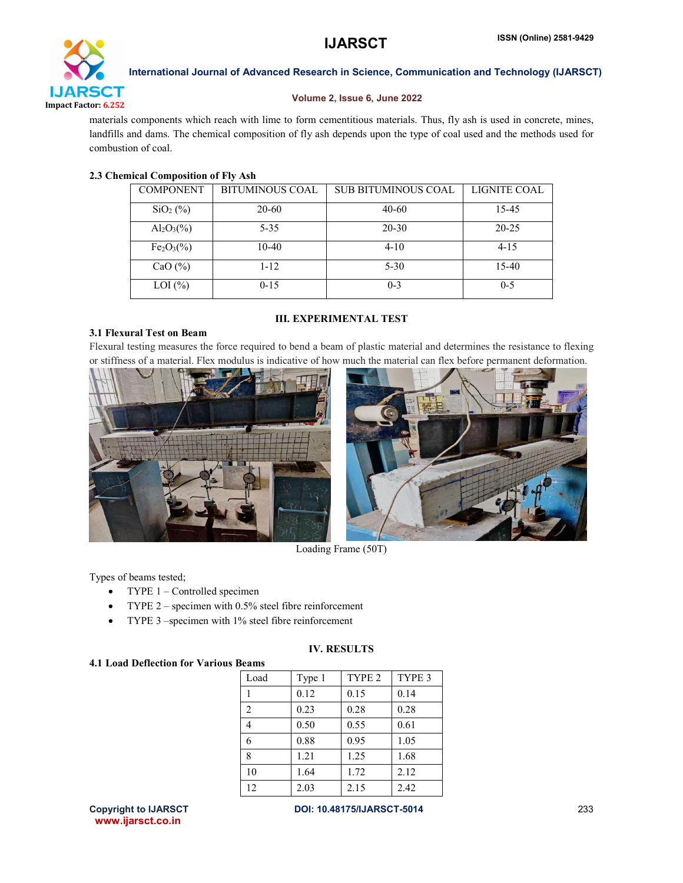

#### Volume 2, Issue 6, June 2022

materials components which reach with lime to form cementitious materials. Thus, fly ash is used in concrete, mines, landfills and dams. The chemical composition of fly ash depends upon the type of coal used and the methods used for combustion of coal.

#### 2.3 Chemical Composition of Fly Ash

3.1 Flexural Test on Beam

| <b>COMPONENT</b> | <b>BITUMINOUS COAL</b> | <b>SUB BITUMINOUS COAL</b> | LIGNITE COAL |
|------------------|------------------------|----------------------------|--------------|
| $SiO2(\%)$       | 20-60                  | $40 - 60$                  | 15-45        |
| $Al_2O_3(\%)$    | $5 - 35$               | $20 - 30$                  | $20 - 25$    |
| $Fe2O3(\%)$      | $10-40$                | $4 - 10$                   | $4 - 15$     |
| CaO $(\% )$      | $1 - 12$               | $5 - 30$                   | $15-40$      |
| $LOI$ $(\%)$     | $0 - 15$               | $0 - 3$                    | $0 - 5$      |

# III. EXPERIMENTAL TEST

Flexural testing measures the force required to bend a beam of plastic material and determines the resistance to flexing or stiffness of a material. Flex modulus is indicative of how much the material can flex before permanent deformation.





Loading Frame (50T)

Types of beams tested;

- TYPE 1 Controlled specimen
- TYPE 2 specimen with 0.5% steel fibre reinforcement
- TYPE 3 –specimen with 1% steel fibre reinforcement

## IV. RESULTS

## 4.1 Load Deflection for Various Beams

| .              |        |                   |        |
|----------------|--------|-------------------|--------|
| Load           | Type 1 | TYPE <sub>2</sub> | TYPE 3 |
|                | 0.12   | 0.15              | 0.14   |
| $\overline{2}$ | 0.23   | 0.28              | 0.28   |
| 4              | 0.50   | 0.55              | 0.61   |
| 6              | 0.88   | 0.95              | 1.05   |
| 8              | 1.21   | 1.25              | 1.68   |
| 10             | 1.64   | 1.72              | 2.12   |
| 12             | 2.03   | 2.15              | 2.42   |

www.ijarsct.co.in

Copyright to IJARSCTDOI: 10.48175/IJARSCT-5014 **233**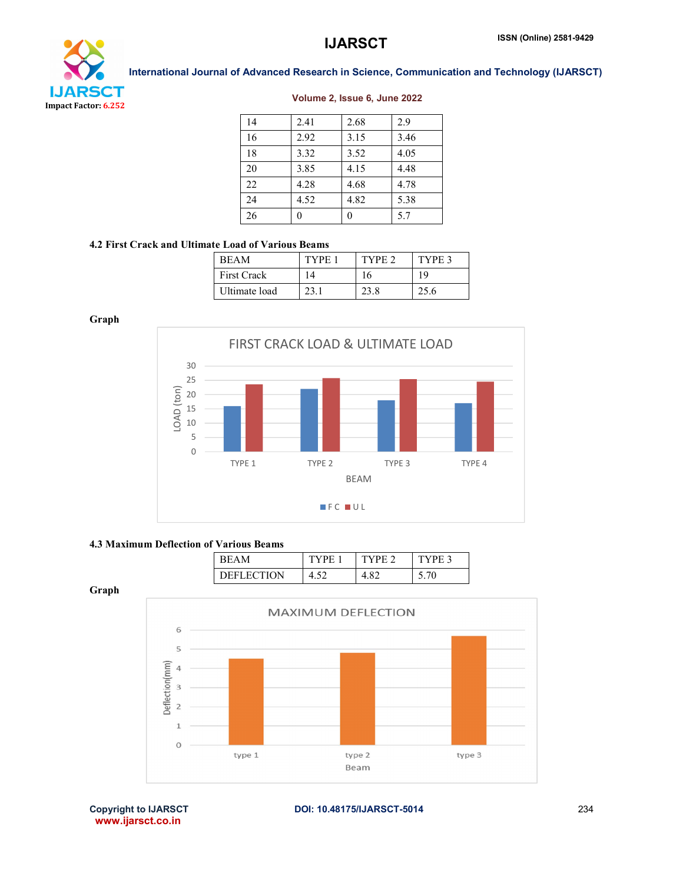

#### Volume 2, Issue 6, June 2022

| 14 | 2.41 | 2.68 | 2.9  |
|----|------|------|------|
| 16 | 2.92 | 3.15 | 3.46 |
| 18 | 3.32 | 3.52 | 4.05 |
| 20 | 3.85 | 4.15 | 4.48 |
| 22 | 4.28 | 4.68 | 4.78 |
| 24 | 4.52 | 4.82 | 5.38 |
| 26 |      |      | 5.7  |

#### 4.2 First Crack and Ultimate Load of Various Beams

| <b>REAM</b>        | TYPE | TYPE 2 | TYPE 3 |
|--------------------|------|--------|--------|
| <b>First Crack</b> | ۱4   | 16     | 19     |
| Ultimate load      | 23.1 | 23.8   | 25.6   |

Graph

Graph



#### 4.3 Maximum Deflection of Various Beams

| ĸн                | н         | DЕ | $-$ TVDF $\alpha$ |
|-------------------|-----------|----|-------------------|
| <b>DEFLECTION</b> | 4<br>7.JZ |    |                   |



www.ijarsct.co.in

Copyright to IJARSCTDOI: 10.48175/IJARSCT-5014 **234**